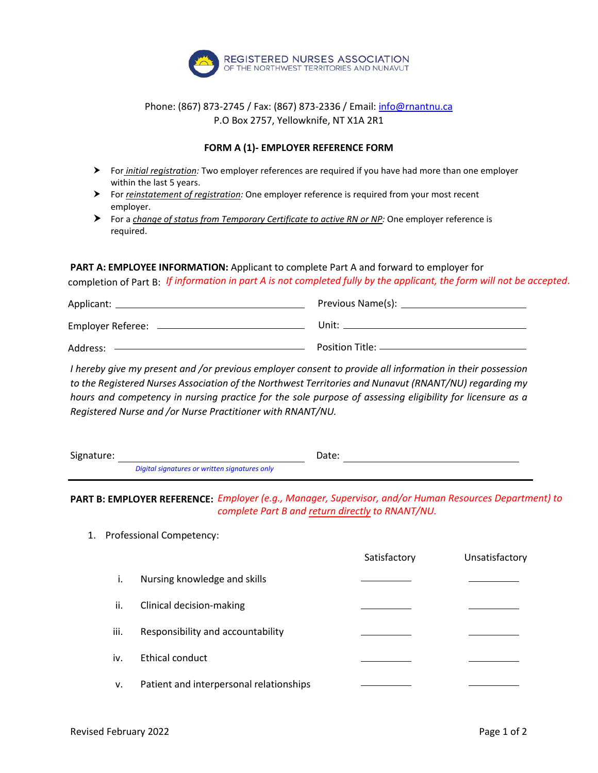

## Phone: (867) 873-2745 / Fax: (867) 873-2336 / Email[: info@rnantnu.ca](mailto:info@rnantnu.ca) P.O Box 2757, Yellowknife, NT X1A 2R1

## **FORM A (1)- EMPLOYER REFERENCE FORM**

- For *initial registration:* Two employer references are required if you have had more than one employer within the last 5 years.
- For *reinstatement of registration:* One employer reference is required from your most recent employer.
- For a *change of status from Temporary Certificate to active RN or NP:* One employer reference is required.

## **PART A: EMPLOYEE INFORMATION:** Applicant to complete Part A and forward to employer for

completion of Part B: *If information in part A is not completed fully by the applicant, the form will not be accepted*.

| Applicant: _      | Previous Name(s):                      |
|-------------------|----------------------------------------|
| Employer Referee: | Unit:                                  |
| Address:          | Position Title: <u>_______________</u> |

*I hereby give my present and /or previous employer consent to provide all information in their possession to the Registered Nurses Association of the Northwest Territories and Nunavut (RNANT/NU) regarding my hours and competency in nursing practice for the sole purpose of assessing eligibility for licensure as a Registered Nurse and /or Nurse Practitioner with RNANT/NU.*

| Signature: |                                               |  | Date: |
|------------|-----------------------------------------------|--|-------|
|            | Digital signatures or written signatures only |  |       |

**PART B: EMPLOYER REFERENCE:** *Employer (e.g., Manager, Supervisor, and/or Human Resources Department) to complete Part B and return directly to RNANT/NU.*

1. Professional Competency:

|      |                                         | Satisfactory | Unsatisfactory |
|------|-----------------------------------------|--------------|----------------|
| i.   | Nursing knowledge and skills            |              |                |
| ii.  | Clinical decision-making                |              |                |
| iii. | Responsibility and accountability       |              |                |
| iv.  | Ethical conduct                         |              |                |
| v.   | Patient and interpersonal relationships |              |                |